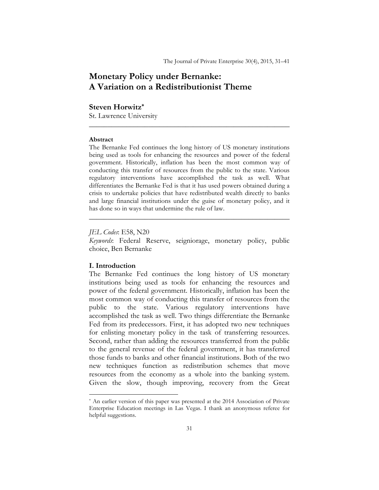# **Monetary Policy under Bernanke: A Variation on a Redistributionist Theme**

# **Steven Horwitz\***

St. Lawrence University

#### **Abstract**

The Bernanke Fed continues the long history of US monetary institutions being used as tools for enhancing the resources and power of the federal government. Historically, inflation has been the most common way of conducting this transfer of resources from the public to the state. Various regulatory interventions have accomplished the task as well. What differentiates the Bernanke Fed is that it has used powers obtained during a crisis to undertake policies that have redistributed wealth directly to banks and large financial institutions under the guise of monetary policy, and it has done so in ways that undermine the rule of law.

\_\_\_\_\_\_\_\_\_\_\_\_\_\_\_\_\_\_\_\_\_\_\_\_\_\_\_\_\_\_\_\_\_\_\_\_\_\_\_\_\_\_\_\_\_\_\_\_\_\_\_\_\_\_

# *JEL Codes*: E58, N20

*Keywords*: Federal Reserve, seigniorage, monetary policy, public choice, Ben Bernanke

\_\_\_\_\_\_\_\_\_\_\_\_\_\_\_\_\_\_\_\_\_\_\_\_\_\_\_\_\_\_\_\_\_\_\_\_\_\_\_\_\_\_\_\_\_\_\_\_\_\_\_\_\_\_

# **I. Introduction**

The Bernanke Fed continues the long history of US monetary institutions being used as tools for enhancing the resources and power of the federal government. Historically, inflation has been the most common way of conducting this transfer of resources from the public to the state. Various regulatory interventions have accomplished the task as well. Two things differentiate the Bernanke Fed from its predecessors. First, it has adopted two new techniques for enlisting monetary policy in the task of transferring resources. Second, rather than adding the resources transferred from the public to the general revenue of the federal government, it has transferred those funds to banks and other financial institutions. Both of the two new techniques function as redistribution schemes that move resources from the economy as a whole into the banking system. Given the slow, though improving, recovery from the Great

<sup>\*</sup> An earlier version of this paper was presented at the 2014 Association of Private Enterprise Education meetings in Las Vegas. I thank an anonymous referee for helpful suggestions.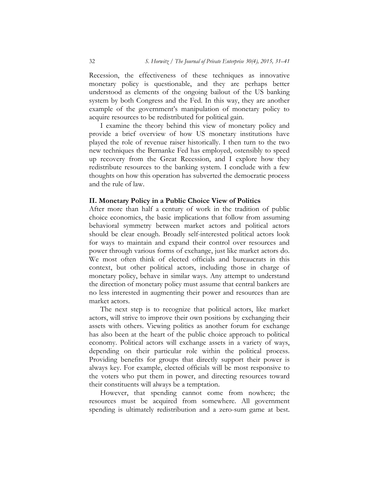Recession, the effectiveness of these techniques as innovative monetary policy is questionable, and they are perhaps better understood as elements of the ongoing bailout of the US banking system by both Congress and the Fed. In this way, they are another example of the government's manipulation of monetary policy to acquire resources to be redistributed for political gain.

I examine the theory behind this view of monetary policy and provide a brief overview of how US monetary institutions have played the role of revenue raiser historically. I then turn to the two new techniques the Bernanke Fed has employed, ostensibly to speed up recovery from the Great Recession, and I explore how they redistribute resources to the banking system. I conclude with a few thoughts on how this operation has subverted the democratic process and the rule of law.

# **II. Monetary Policy in a Public Choice View of Politics**

After more than half a century of work in the tradition of public choice economics, the basic implications that follow from assuming behavioral symmetry between market actors and political actors should be clear enough. Broadly self-interested political actors look for ways to maintain and expand their control over resources and power through various forms of exchange, just like market actors do. We most often think of elected officials and bureaucrats in this context, but other political actors, including those in charge of monetary policy, behave in similar ways. Any attempt to understand the direction of monetary policy must assume that central bankers are no less interested in augmenting their power and resources than are market actors.

The next step is to recognize that political actors, like market actors, will strive to improve their own positions by exchanging their assets with others. Viewing politics as another forum for exchange has also been at the heart of the public choice approach to political economy. Political actors will exchange assets in a variety of ways, depending on their particular role within the political process. Providing benefits for groups that directly support their power is always key. For example, elected officials will be most responsive to the voters who put them in power, and directing resources toward their constituents will always be a temptation.

However, that spending cannot come from nowhere; the resources must be acquired from somewhere. All government spending is ultimately redistribution and a zero-sum game at best.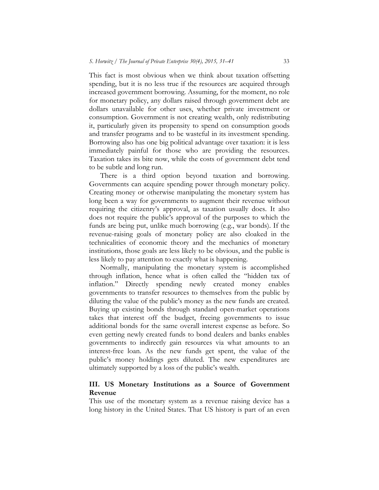This fact is most obvious when we think about taxation offsetting spending, but it is no less true if the resources are acquired through increased government borrowing. Assuming, for the moment, no role for monetary policy, any dollars raised through government debt are dollars unavailable for other uses, whether private investment or consumption. Government is not creating wealth, only redistributing it, particularly given its propensity to spend on consumption goods and transfer programs and to be wasteful in its investment spending. Borrowing also has one big political advantage over taxation: it is less immediately painful for those who are providing the resources. Taxation takes its bite now, while the costs of government debt tend to be subtle and long run.

There is a third option beyond taxation and borrowing. Governments can acquire spending power through monetary policy. Creating money or otherwise manipulating the monetary system has long been a way for governments to augment their revenue without requiring the citizenry's approval, as taxation usually does. It also does not require the public's approval of the purposes to which the funds are being put, unlike much borrowing (e.g., war bonds). If the revenue-raising goals of monetary policy are also cloaked in the technicalities of economic theory and the mechanics of monetary institutions, those goals are less likely to be obvious, and the public is less likely to pay attention to exactly what is happening.

Normally, manipulating the monetary system is accomplished through inflation, hence what is often called the "hidden tax of inflation." Directly spending newly created money enables governments to transfer resources to themselves from the public by diluting the value of the public's money as the new funds are created. Buying up existing bonds through standard open-market operations takes that interest off the budget, freeing governments to issue additional bonds for the same overall interest expense as before. So even getting newly created funds to bond dealers and banks enables governments to indirectly gain resources via what amounts to an interest-free loan. As the new funds get spent, the value of the public's money holdings gets diluted. The new expenditures are ultimately supported by a loss of the public's wealth.

# **III. US Monetary Institutions as a Source of Government Revenue**

This use of the monetary system as a revenue raising device has a long history in the United States. That US history is part of an even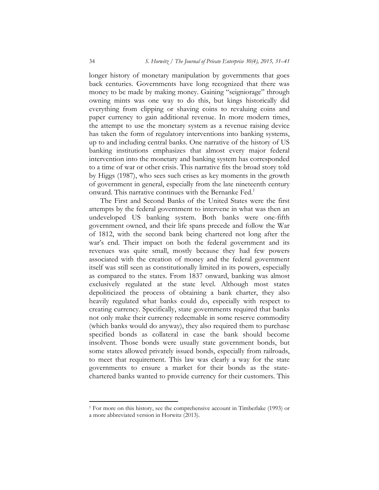longer history of monetary manipulation by governments that goes back centuries. Governments have long recognized that there was money to be made by making money. Gaining "seigniorage" through owning mints was one way to do this, but kings historically did everything from clipping or shaving coins to revaluing coins and paper currency to gain additional revenue. In more modern times, the attempt to use the monetary system as a revenue raising device has taken the form of regulatory interventions into banking systems, up to and including central banks. One narrative of the history of US banking institutions emphasizes that almost every major federal intervention into the monetary and banking system has corresponded to a time of war or other crisis. This narrative fits the broad story told by Higgs (1987), who sees such crises as key moments in the growth of government in general, especially from the late nineteenth century onward. This narrative continues with the Bernanke Fed.1

The First and Second Banks of the United States were the first attempts by the federal government to intervene in what was then an undeveloped US banking system. Both banks were one-fifth government owned, and their life spans precede and follow the War of 1812, with the second bank being chartered not long after the war's end. Their impact on both the federal government and its revenues was quite small, mostly because they had few powers associated with the creation of money and the federal government itself was still seen as constitutionally limited in its powers, especially as compared to the states. From 1837 onward, banking was almost exclusively regulated at the state level. Although most states depoliticized the process of obtaining a bank charter, they also heavily regulated what banks could do, especially with respect to creating currency. Specifically, state governments required that banks not only make their currency redeemable in some reserve commodity (which banks would do anyway), they also required them to purchase specified bonds as collateral in case the bank should become insolvent. Those bonds were usually state government bonds, but some states allowed privately issued bonds, especially from railroads, to meet that requirement. This law was clearly a way for the state governments to ensure a market for their bonds as the statechartered banks wanted to provide currency for their customers. This

<sup>1</sup> For more on this history, see the comprehensive account in Timberlake (1993) or a more abbreviated version in Horwitz (2013).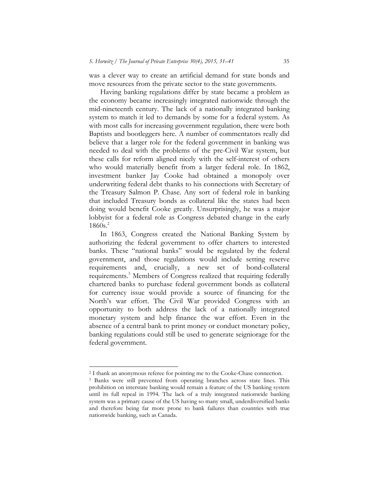was a clever way to create an artificial demand for state bonds and move resources from the private sector to the state governments.

Having banking regulations differ by state became a problem as the economy became increasingly integrated nationwide through the mid-nineteenth century. The lack of a nationally integrated banking system to match it led to demands by some for a federal system. As with most calls for increasing government regulation, there were both Baptists and bootleggers here. A number of commentators really did believe that a larger role for the federal government in banking was needed to deal with the problems of the pre-Civil War system, but these calls for reform aligned nicely with the self-interest of others who would materially benefit from a larger federal role. In 1862, investment banker Jay Cooke had obtained a monopoly over underwriting federal debt thanks to his connections with Secretary of the Treasury Salmon P. Chase. Any sort of federal role in banking that included Treasury bonds as collateral like the states had been doing would benefit Cooke greatly. Unsurprisingly, he was a major lobbyist for a federal role as Congress debated change in the early  $1860s<sup>2</sup>$ 

In 1863, Congress created the National Banking System by authorizing the federal government to offer charters to interested banks. These "national banks" would be regulated by the federal government, and those regulations would include setting reserve requirements and, crucially, a new set of bond-collateral requirements.<sup>3</sup> Members of Congress realized that requiring federally chartered banks to purchase federal government bonds as collateral for currency issue would provide a source of financing for the North's war effort. The Civil War provided Congress with an opportunity to both address the lack of a nationally integrated monetary system and help finance the war effort. Even in the absence of a central bank to print money or conduct monetary policy, banking regulations could still be used to generate seigniorage for the federal government.

<sup>2</sup> I thank an anonymous referee for pointing me to the Cooke-Chase connection. 3 Banks were still prevented from operating branches across state lines. This prohibition on interstate banking would remain a feature of the US banking system until its full repeal in 1994. The lack of a truly integrated nationwide banking system was a primary cause of the US having so many small, underdiversified banks and therefore being far more prone to bank failures than countries with true nationwide banking, such as Canada.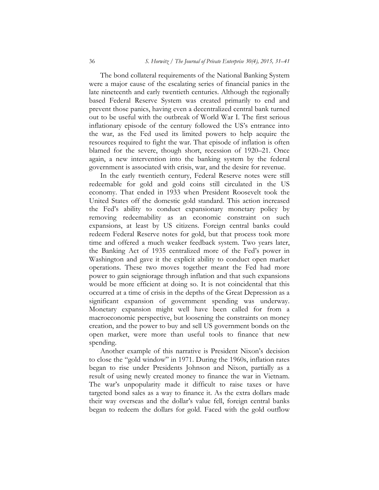The bond collateral requirements of the National Banking System were a major cause of the escalating series of financial panics in the late nineteenth and early twentieth centuries. Although the regionally based Federal Reserve System was created primarily to end and prevent those panics, having even a decentralized central bank turned out to be useful with the outbreak of World War I. The first serious inflationary episode of the century followed the US's entrance into the war, as the Fed used its limited powers to help acquire the resources required to fight the war. That episode of inflation is often blamed for the severe, though short, recession of 1920–21. Once again, a new intervention into the banking system by the federal government is associated with crisis, war, and the desire for revenue.

In the early twentieth century, Federal Reserve notes were still redeemable for gold and gold coins still circulated in the US economy. That ended in 1933 when President Roosevelt took the United States off the domestic gold standard. This action increased the Fed's ability to conduct expansionary monetary policy by removing redeemability as an economic constraint on such expansions, at least by US citizens. Foreign central banks could redeem Federal Reserve notes for gold, but that process took more time and offered a much weaker feedback system. Two years later, the Banking Act of 1935 centralized more of the Fed's power in Washington and gave it the explicit ability to conduct open market operations. These two moves together meant the Fed had more power to gain seigniorage through inflation and that such expansions would be more efficient at doing so. It is not coincidental that this occurred at a time of crisis in the depths of the Great Depression as a significant expansion of government spending was underway. Monetary expansion might well have been called for from a macroeconomic perspective, but loosening the constraints on money creation, and the power to buy and sell US government bonds on the open market, were more than useful tools to finance that new spending.

Another example of this narrative is President Nixon's decision to close the "gold window" in 1971. During the 1960s, inflation rates began to rise under Presidents Johnson and Nixon, partially as a result of using newly created money to finance the war in Vietnam. The war's unpopularity made it difficult to raise taxes or have targeted bond sales as a way to finance it. As the extra dollars made their way overseas and the dollar's value fell, foreign central banks began to redeem the dollars for gold. Faced with the gold outflow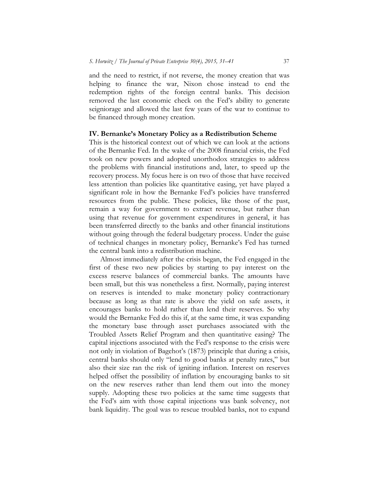and the need to restrict, if not reverse, the money creation that was helping to finance the war, Nixon chose instead to end the redemption rights of the foreign central banks. This decision removed the last economic check on the Fed's ability to generate seigniorage and allowed the last few years of the war to continue to be financed through money creation.

# **IV. Bernanke's Monetary Policy as a Redistribution Scheme**

This is the historical context out of which we can look at the actions of the Bernanke Fed. In the wake of the 2008 financial crisis, the Fed took on new powers and adopted unorthodox strategies to address the problems with financial institutions and, later, to speed up the recovery process. My focus here is on two of those that have received less attention than policies like quantitative easing, yet have played a significant role in how the Bernanke Fed's policies have transferred resources from the public. These policies, like those of the past, remain a way for government to extract revenue, but rather than using that revenue for government expenditures in general, it has been transferred directly to the banks and other financial institutions without going through the federal budgetary process. Under the guise of technical changes in monetary policy, Bernanke's Fed has turned the central bank into a redistribution machine.

Almost immediately after the crisis began, the Fed engaged in the first of these two new policies by starting to pay interest on the excess reserve balances of commercial banks. The amounts have been small, but this was nonetheless a first. Normally, paying interest on reserves is intended to make monetary policy contractionary because as long as that rate is above the yield on safe assets, it encourages banks to hold rather than lend their reserves. So why would the Bernanke Fed do this if, at the same time, it was expanding the monetary base through asset purchases associated with the Troubled Assets Relief Program and then quantitative easing? The capital injections associated with the Fed's response to the crisis were not only in violation of Bagehot's (1873) principle that during a crisis, central banks should only "lend to good banks at penalty rates," but also their size ran the risk of igniting inflation. Interest on reserves helped offset the possibility of inflation by encouraging banks to sit on the new reserves rather than lend them out into the money supply. Adopting these two policies at the same time suggests that the Fed's aim with those capital injections was bank solvency, not bank liquidity. The goal was to rescue troubled banks, not to expand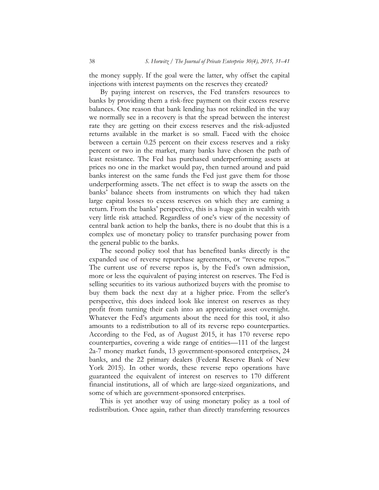the money supply. If the goal were the latter, why offset the capital injections with interest payments on the reserves they created?

By paying interest on reserves, the Fed transfers resources to banks by providing them a risk-free payment on their excess reserve balances. One reason that bank lending has not rekindled in the way we normally see in a recovery is that the spread between the interest rate they are getting on their excess reserves and the risk-adjusted returns available in the market is so small. Faced with the choice between a certain 0.25 percent on their excess reserves and a risky percent or two in the market, many banks have chosen the path of least resistance. The Fed has purchased underperforming assets at prices no one in the market would pay, then turned around and paid banks interest on the same funds the Fed just gave them for those underperforming assets. The net effect is to swap the assets on the banks' balance sheets from instruments on which they had taken large capital losses to excess reserves on which they are earning a return. From the banks' perspective, this is a huge gain in wealth with very little risk attached. Regardless of one's view of the necessity of central bank action to help the banks, there is no doubt that this is a complex use of monetary policy to transfer purchasing power from the general public to the banks.

The second policy tool that has benefited banks directly is the expanded use of reverse repurchase agreements, or "reverse repos." The current use of reverse repos is, by the Fed's own admission, more or less the equivalent of paying interest on reserves. The Fed is selling securities to its various authorized buyers with the promise to buy them back the next day at a higher price. From the seller's perspective, this does indeed look like interest on reserves as they profit from turning their cash into an appreciating asset overnight. Whatever the Fed's arguments about the need for this tool, it also amounts to a redistribution to all of its reverse repo counterparties. According to the Fed, as of August 2015, it has 170 reverse repo counterparties, covering a wide range of entities—111 of the largest 2a-7 money market funds, 13 government-sponsored enterprises, 24 banks, and the 22 primary dealers (Federal Reserve Bank of New York 2015). In other words, these reverse repo operations have guaranteed the equivalent of interest on reserves to 170 different financial institutions, all of which are large-sized organizations, and some of which are government-sponsored enterprises.

This is yet another way of using monetary policy as a tool of redistribution. Once again, rather than directly transferring resources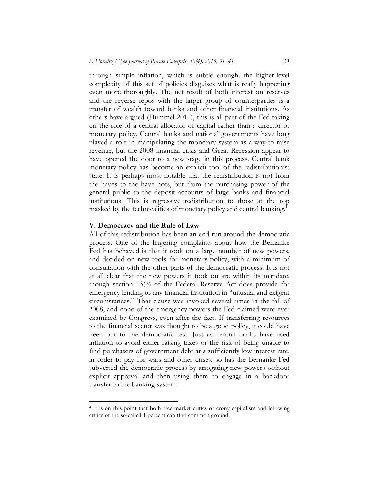through simple inflation, which is subtle enough, the higher-level complexity of this set of policies disguises what is really happening even more thoroughly. The net result of both interest on reserves and the reverse repos with the larger group of counterparties is a transfer of wealth toward banks and other financial institutions. As others have argued (Hummel 2011), this is all part of the Fed taking on the role of a central allocator of capital rather than a director of monetary policy. Central banks and national governments have long played a role in manipulating the monetary system as a way to raise revenue, but the 2008 financial crisis and Great Recession appear to have opened the door to a new stage in this process. Central bank monetary policy has become an explicit tool of the redistributionist state. It is perhaps most notable that the redistribution is not from

the haves to the have nots, but from the purchasing power of the general public to the deposit accounts of large banks and financial institutions. This is regressive redistribution to those at the top masked by the technicalities of monetary policy and central banking.<sup>4</sup>

## **V. Democracy and the Rule of Law**

All of this redistribution has been an end run around the democratic process. One of the lingering complaints about how the Bernanke Fed has behaved is that it took on a large number of new powers, and decided on new tools for monetary policy, with a minimum of consultation with the other parts of the democratic process. It is not at all clear that the new powers it took on are within its mandate, though section 13(3) of the Federal Reserve Act does provide for emergency lending to any financial institution in "unusual and exigent circumstances." That clause was invoked several times in the fall of 2008, and none of the emergency powers the Fed claimed were ever examined by Congress, even after the fact. If transferring resources to the financial sector was thought to be a good policy, it could have been put to the democratic test. Just as central banks have used inflation to avoid either raising taxes or the risk of being unable to find purchasers of government debt at a sufficiently low interest rate, in order to pay for wars and other crises, so has the Bernanke Fed subverted the democratic process by arrogating new powers without explicit approval and then using them to engage in a backdoor transfer to the banking system.

<sup>4</sup> It is on this point that both free-market critics of crony capitalism and left-wing critics of the so-called 1 percent can find common ground.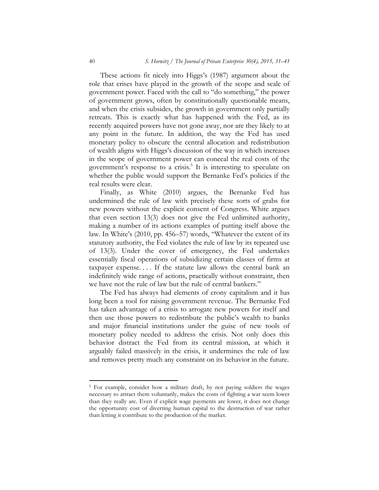These actions fit nicely into Higgs's (1987) argument about the role that crises have played in the growth of the scope and scale of government power. Faced with the call to "do something," the power of government grows, often by constitutionally questionable means, and when the crisis subsides, the growth in government only partially retreats. This is exactly what has happened with the Fed, as its recently acquired powers have not gone away, nor are they likely to at any point in the future. In addition, the way the Fed has used monetary policy to obscure the central allocation and redistribution of wealth aligns with Higgs's discussion of the way in which increases in the scope of government power can conceal the real costs of the government's response to a crisis.<sup>5</sup> It is interesting to speculate on whether the public would support the Bernanke Fed's policies if the real results were clear.

Finally, as White (2010) argues, the Bernanke Fed has undermined the rule of law with precisely these sorts of grabs for new powers without the explicit consent of Congress. White argues that even section 13(3) does not give the Fed unlimited authority, making a number of its actions examples of putting itself above the law. In White's (2010, pp. 456–57) words, "Whatever the extent of its statutory authority, the Fed violates the rule of law by its repeated use of 13(3). Under the cover of emergency, the Fed undertakes essentially fiscal operations of subsidizing certain classes of firms at taxpayer expense. . . . If the statute law allows the central bank an indefinitely wide range of actions, practically without constraint, then we have not the rule of law but the rule of central bankers."

The Fed has always had elements of crony capitalism and it has long been a tool for raising government revenue. The Bernanke Fed has taken advantage of a crisis to arrogate new powers for itself and then use those powers to redistribute the public's wealth to banks and major financial institutions under the guise of new tools of monetary policy needed to address the crisis. Not only does this behavior distract the Fed from its central mission, at which it arguably failed massively in the crisis, it undermines the rule of law and removes pretty much any constraint on its behavior in the future.

<sup>5</sup> For example, consider how a military draft, by not paying soldiers the wages necessary to attract them voluntarily, makes the costs of fighting a war seem lower than they really are. Even if explicit wage payments are lower, it does not change the opportunity cost of diverting human capital to the destruction of war rather than letting it contribute to the production of the market.